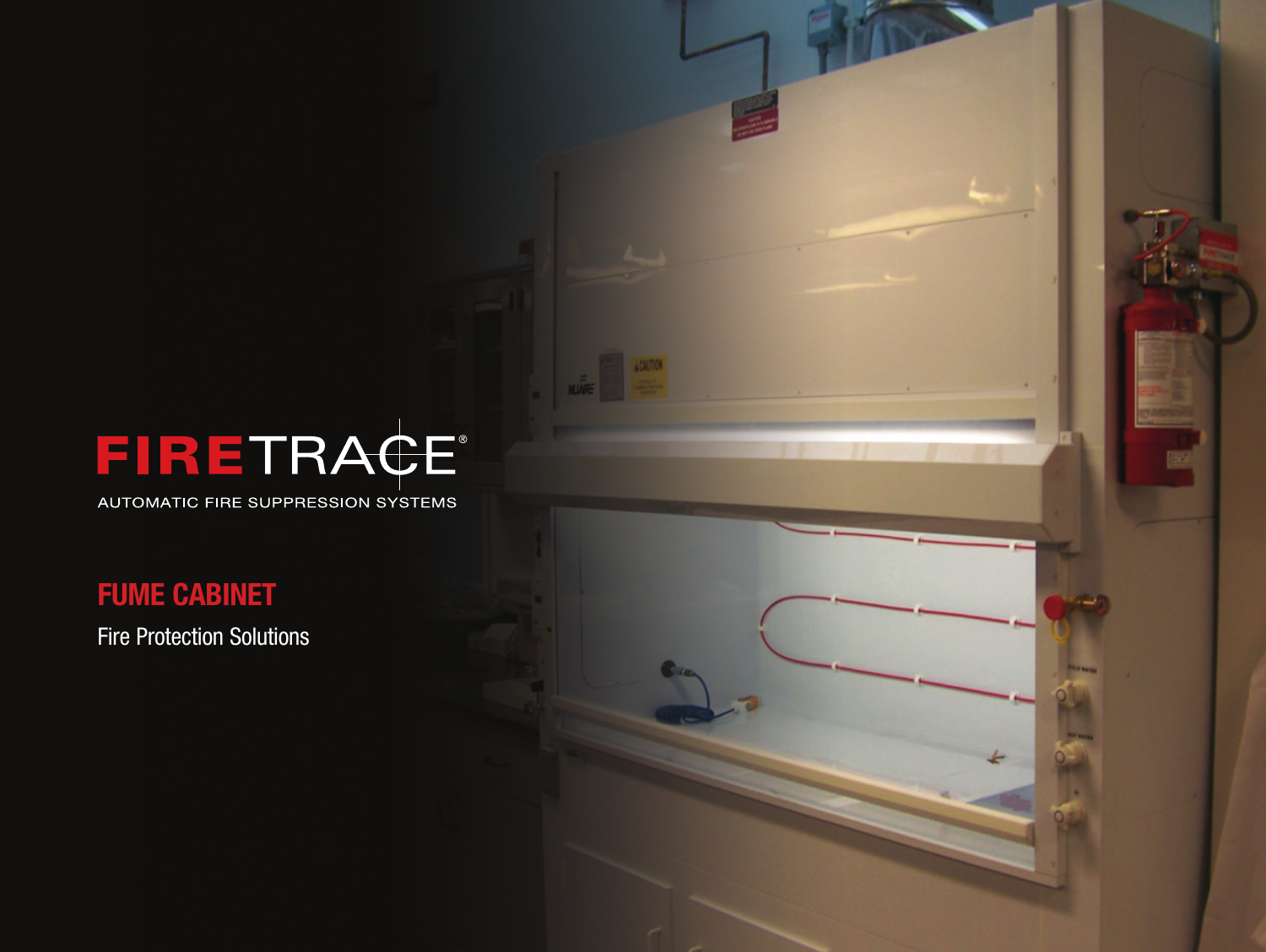# FIRETRACE®

**CALTICH** 

AUTOMATIC FIRE SUPPRESSION SYSTEMS

# FUME CABINET

Fire Protection Solutions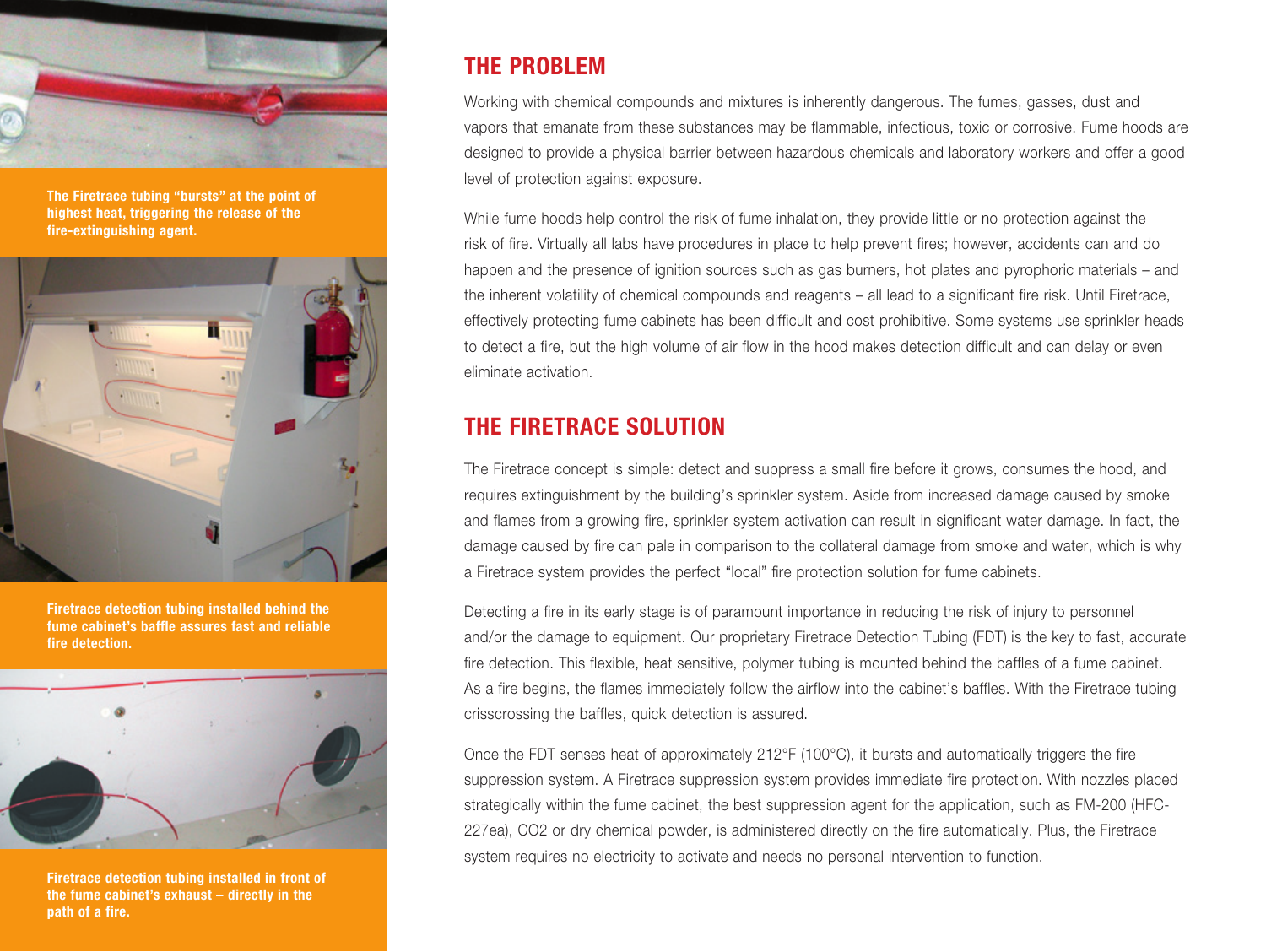

The Firetrace tubing "bursts" at the point of highest heat, triggering the release of the fire-extinguishing agent.



Firetrace detection tubing installed behind the fume cabinet's baffle assures fast and reliable fire detection.



Firetrace detection tubing installed in front of the fume cabinet's exhaust – directly in the path of a fire.

### THE PROBLEM

Working with chemical compounds and mixtures is inherently dangerous. The fumes, gasses, dust and vapors that emanate from these substances may be flammable, infectious, toxic or corrosive. Fume hoods are designed to provide a physical barrier between hazardous chemicals and laboratory workers and offer a good level of protection against exposure.

While fume hoods help control the risk of fume inhalation, they provide little or no protection against the risk of fire. Virtually all labs have procedures in place to help prevent fires; however, accidents can and do happen and the presence of ignition sources such as gas burners, hot plates and pyrophoric materials – and the inherent volatility of chemical compounds and reagents – all lead to a significant fire risk. Until Firetrace, effectively protecting fume cabinets has been difficult and cost prohibitive. Some systems use sprinkler heads to detect a fire, but the high volume of air flow in the hood makes detection difficult and can delay or even eliminate activation.

## THE FIRETRACE SOLUTION

The Firetrace concept is simple: detect and suppress a small fire before it grows, consumes the hood, and requires extinguishment by the building's sprinkler system. Aside from increased damage caused by smoke and flames from a growing fire, sprinkler system activation can result in significant water damage. In fact, the damage caused by fire can pale in comparison to the collateral damage from smoke and water, which is why a Firetrace system provides the perfect "local" fire protection solution for fume cabinets.

Detecting a fire in its early stage is of paramount importance in reducing the risk of injury to personnel and/or the damage to equipment. Our proprietary Firetrace Detection Tubing (FDT) is the key to fast, accurate fire detection. This flexible, heat sensitive, polymer tubing is mounted behind the baffles of a fume cabinet. As a fire begins, the flames immediately follow the airflow into the cabinet's baffles. With the Firetrace tubing crisscrossing the baffles, quick detection is assured.

Once the FDT senses heat of approximately 212°F (100°C), it bursts and automatically triggers the fire suppression system. A Firetrace suppression system provides immediate fire protection. With nozzles placed strategically within the fume cabinet, the best suppression agent for the application, such as FM-200 (HFC-227ea), CO2 or dry chemical powder, is administered directly on the fire automatically. Plus, the Firetrace system requires no electricity to activate and needs no personal intervention to function.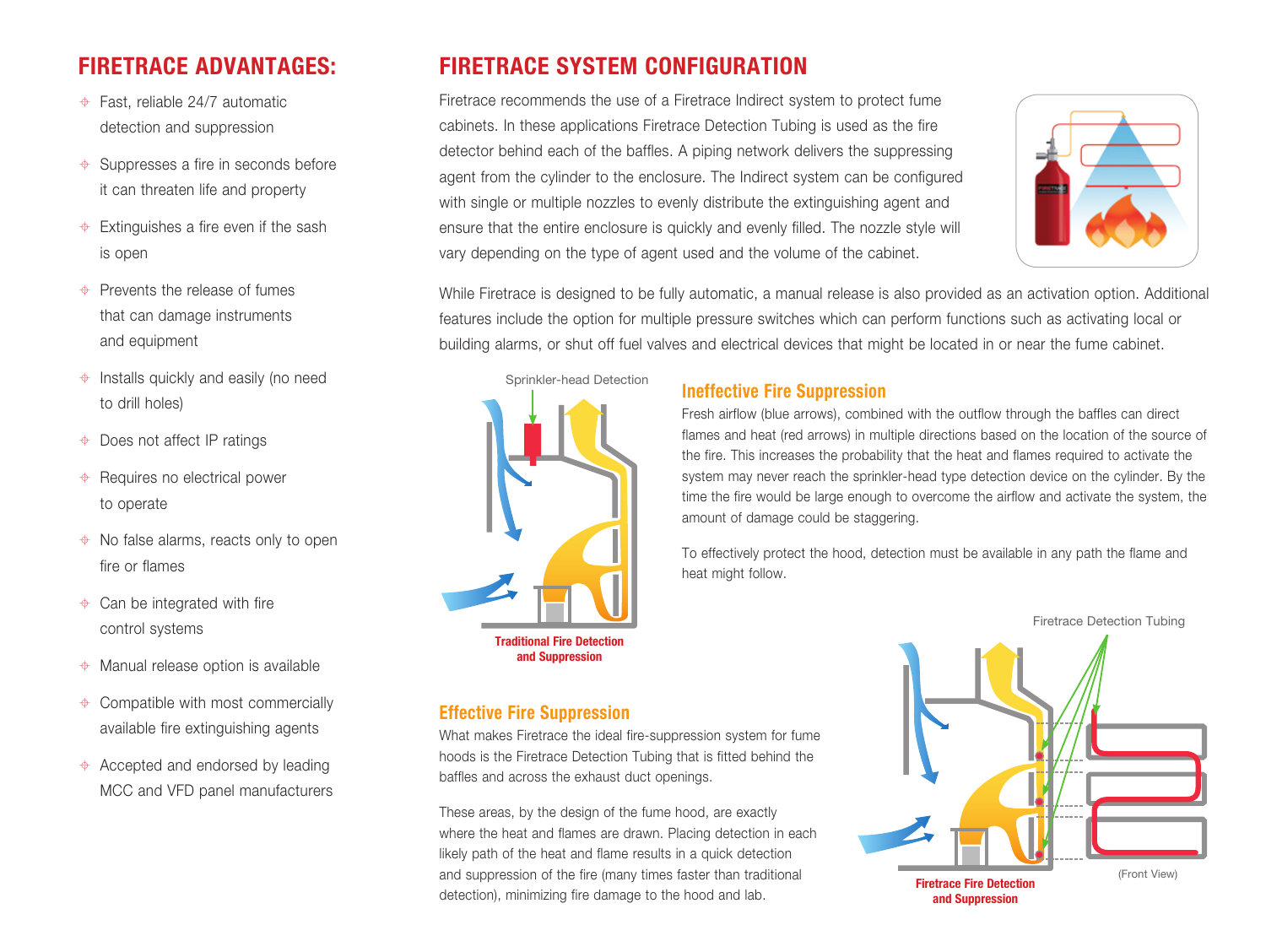# FIRETRACE ADVANTAGES:

- Fast, reliable 24/7 automatic detection and suppression
- $\triangleq$  Suppresses a fire in seconds before it can threaten life and property
- $\triangleq$  Extinguishes a fire even if the sash is open
- $\triangle$  Prevents the release of fumes that can damage instruments and equipment
- $\triangleq$  Installs quickly and easily (no need to drill holes)
- $\triangleq$  Does not affect IP ratings
- $\triangleq$  Requires no electrical power to operate
- $\triangleq$  No false alarms, reacts only to open fire or flames
- $\triangleq$  Can be integrated with fire control systems
- $\triangleq$  Manual release option is available
- $\triangleq$  Compatible with most commercially available fire extinguishing agents
- $\triangle$  Accepted and endorsed by leading MCC and VFD panel manufacturers

# FIRETRACE SYSTEM CONFIGURATION

Firetrace recommends the use of a Firetrace Indirect system to protect fume cabinets. In these applications Firetrace Detection Tubing is used as the fire detector behind each of the baffles. A piping network delivers the suppressing agent from the cylinder to the enclosure. The Indirect system can be configured with single or multiple nozzles to evenly distribute the extinguishing agent and ensure that the entire enclosure is quickly and evenly filled. The nozzle style will vary depending on the type of agent used and the volume of the cabinet.



While Firetrace is designed to be fully automatic, a manual release is also provided as an activation option. Additional features include the option for multiple pressure switches which can perform functions such as activating local or building alarms, or shut off fuel valves and electrical devices that might be located in or near the fume cabinet.



Effective Fire Suppression

baffles and across the exhaust duct openings.

What makes Firetrace the ideal fire-suppression system for fume hoods is the Firetrace Detection Tubing that is fitted behind the

These areas, by the design of the fume hood, are exactly where the heat and flames are drawn. Placing detection in each likely path of the heat and flame results in a quick detection and suppression of the fire (many times faster than traditional detection), minimizing fire damage to the hood and lab.

#### Ineffective Fire Suppression

Fresh airflow (blue arrows), combined with the outflow through the baffles can direct flames and heat (red arrows) in multiple directions based on the location of the source of the fire. This increases the probability that the heat and flames required to activate the system may never reach the sprinkler-head type detection device on the cylinder. By the time the fire would be large enough to overcome the airflow and activate the system, the amount of damage could be staggering.

To effectively protect the hood, detection must be available in any path the flame and heat might follow.

Firetrace Detection Tubing